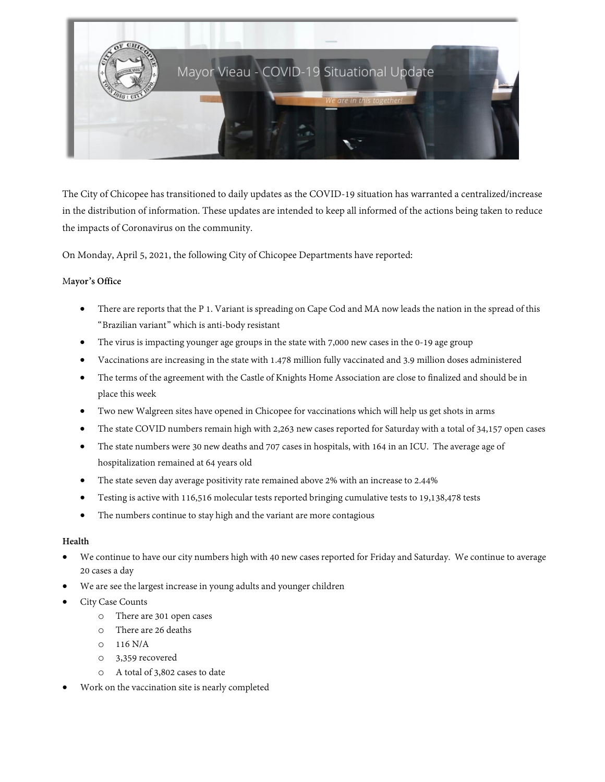

The City of Chicopee has transitioned to daily updates as the COVID-19 situation has warranted a centralized/increase in the distribution of information. These updates are intended to keep all informed of the actions being taken to reduce the impacts of Coronavirus on the community.

On Monday, April 5, 2021, the following City of Chicopee Departments have reported:

# M**ayor's Office**

- There are reports that the P 1. Variant is spreading on Cape Cod and MA now leads the nation in the spread of this "Brazilian variant" which is anti-body resistant
- The virus is impacting younger age groups in the state with 7,000 new cases in the 0-19 age group
- Vaccinations are increasing in the state with 1.478 million fully vaccinated and 3.9 million doses administered
- The terms of the agreement with the Castle of Knights Home Association are close to finalized and should be in place this week
- Two new Walgreen sites have opened in Chicopee for vaccinations which will help us get shots in arms
- The state COVID numbers remain high with 2,263 new cases reported for Saturday with a total of 34,157 open cases
- The state numbers were 30 new deaths and 707 cases in hospitals, with 164 in an ICU. The average age of hospitalization remained at 64 years old
- The state seven day average positivity rate remained above 2% with an increase to 2.44%
- Testing is active with 116,516 molecular tests reported bringing cumulative tests to 19,138,478 tests
- The numbers continue to stay high and the variant are more contagious

## **Health**

- We continue to have our city numbers high with 40 new cases reported for Friday and Saturday. We continue to average 20 cases a day
- We are see the largest increase in young adults and younger children
- City Case Counts
	- o There are 301 open cases
	- o There are 26 deaths
	- o 116 N/A
	- o 3,359 recovered
	- o A total of 3,802 cases to date
- Work on the vaccination site is nearly completed